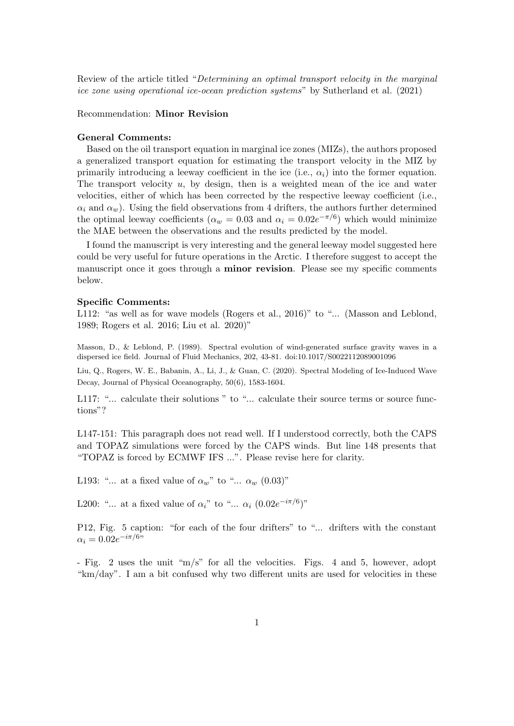Review of the article titled "Determining an optimal transport velocity in the marginal ice zone using operational ice-ocean prediction systems" by Sutherland et al. (2021)

## Recommendation: Minor Revision

## General Comments:

Based on the oil transport equation in marginal ice zones (MIZs), the authors proposed a generalized transport equation for estimating the transport velocity in the MIZ by primarily introducing a leeway coefficient in the ice (i.e.,  $\alpha_i$ ) into the former equation. The transport velocity  $u$ , by design, then is a weighted mean of the ice and water velocities, either of which has been corrected by the respective leeway coefficient (i.e.,  $\alpha_i$  and  $\alpha_w$ ). Using the field observations from 4 drifters, the authors further determined the optimal leeway coefficients ( $\alpha_w = 0.03$  and  $\alpha_i = 0.02e^{-\pi/6}$ ) which would minimize the MAE between the observations and the results predicted by the model.

I found the manuscript is very interesting and the general leeway model suggested here could be very useful for future operations in the Arctic. I therefore suggest to accept the manuscript once it goes through a **minor revision**. Please see my specific comments below.

## Specific Comments:

L112: "as well as for wave models (Rogers et al., 2016)" to "... (Masson and Leblond, 1989; Rogers et al. 2016; Liu et al. 2020)"

Masson, D., & Leblond, P. (1989). Spectral evolution of wind-generated surface gravity waves in a dispersed ice field. Journal of Fluid Mechanics, 202, 43-81. doi:10.1017/S0022112089001096

Liu, Q., Rogers, W. E., Babanin, A., Li, J., & Guan, C. (2020). Spectral Modeling of Ice-Induced Wave Decay, Journal of Physical Oceanography, 50(6), 1583-1604.

L117: "... calculate their solutions " to "... calculate their source terms or source functions"?

L147-151: This paragraph does not read well. If I understood correctly, both the CAPS and TOPAZ simulations were forced by the CAPS winds. But line 148 presents that "TOPAZ is forced by ECMWF IFS ...". Please revise here for clarity.

L193: "... at a fixed value of  $\alpha_w$ " to "...  $\alpha_w$  (0.03)"

L200: "... at a fixed value of  $\alpha_i$ " to "...  $\alpha_i$  (0.02 $e^{-i\pi/6}$ )"

P12, Fig. 5 caption: "for each of the four drifters" to "... drifters with the constant  $\alpha_i = 0.02e^{-i\pi/6}$ 

- Fig. 2 uses the unit "m/s" for all the velocities. Figs. 4 and 5, however, adopt "km/day". I am a bit confused why two different units are used for velocities in these